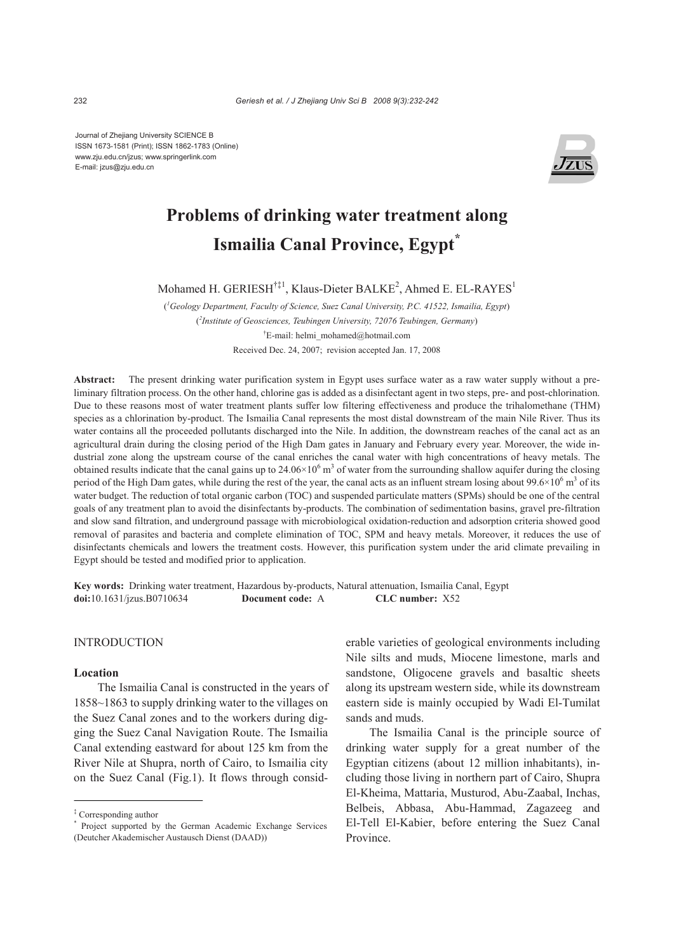Journal of Zhejiang University SCIENCE B ISSN 1673-1581 (Print); ISSN 1862-1783 (Online) www.zju.edu.cn/jzus; www.springerlink.com E-mail: jzus@zju.edu.cn



# **Problems of drinking water treatment along Ismailia Canal Province, Egypt\***

Mohamed H. GERIESH<sup>†‡1</sup>, Klaus-Dieter BALKE<sup>2</sup>, Ahmed E. EL-RAYES<sup>1</sup>

( *1 Geology Department, Faculty of Science, Suez Canal University, P.C. 41522, Ismailia, Egypt*) ( *2 Institute of Geosciences, Teubingen University, 72076 Teubingen, Germany*) † E-mail: helmi\_mohamed@hotmail.com Received Dec. 24, 2007; revision accepted Jan. 17, 2008

**Abstract:** The present drinking water purification system in Egypt uses surface water as a raw water supply without a preliminary filtration process. On the other hand, chlorine gas is added as a disinfectant agent in two steps, pre- and post-chlorination. Due to these reasons most of water treatment plants suffer low filtering effectiveness and produce the trihalomethane (THM) species as a chlorination by-product. The Ismailia Canal represents the most distal downstream of the main Nile River. Thus its water contains all the proceeded pollutants discharged into the Nile. In addition, the downstream reaches of the canal act as an agricultural drain during the closing period of the High Dam gates in January and February every year. Moreover, the wide industrial zone along the upstream course of the canal enriches the canal water with high concentrations of heavy metals. The obtained results indicate that the canal gains up to  $24.06 \times 10^6$  m<sup>3</sup> of water from the surrounding shallow aquifer during the closing period of the High Dam gates, while during the rest of the year, the canal acts as an influent stream losing about  $99.6 \times 10^6$  m<sup>3</sup> of its water budget. The reduction of total organic carbon (TOC) and suspended particulate matters (SPMs) should be one of the central goals of any treatment plan to avoid the disinfectants by-products. The combination of sedimentation basins, gravel pre-filtration and slow sand filtration, and underground passage with microbiological oxidation-reduction and adsorption criteria showed good removal of parasites and bacteria and complete elimination of TOC, SPM and heavy metals. Moreover, it reduces the use of disinfectants chemicals and lowers the treatment costs. However, this purification system under the arid climate prevailing in Egypt should be tested and modified prior to application.

**Key words:** Drinking water treatment, Hazardous by-products, Natural attenuation, Ismailia Canal, Egypt **doi:**10.1631/jzus.B0710634 **Document code:** A **CLC number:** X52

## INTRODUCTION

## **Location**

The Ismailia Canal is constructed in the years of 1858~1863 to supply drinking water to the villages on the Suez Canal zones and to the workers during digging the Suez Canal Navigation Route. The Ismailia Canal extending eastward for about 125 km from the River Nile at Shupra, north of Cairo, to Ismailia city on the Suez Canal (Fig.1). It flows through considerable varieties of geological environments including Nile silts and muds, Miocene limestone, marls and sandstone, Oligocene gravels and basaltic sheets along its upstream western side, while its downstream eastern side is mainly occupied by Wadi El-Tumilat sands and muds.

The Ismailia Canal is the principle source of drinking water supply for a great number of the Egyptian citizens (about 12 million inhabitants), including those living in northern part of Cairo, Shupra El-Kheima, Mattaria, Musturod, Abu-Zaabal, Inchas, Belbeis, Abbasa, Abu-Hammad, Zagazeeg and El-Tell El-Kabier, before entering the Suez Canal Province.

<sup>‡</sup> Corresponding author

<sup>\*</sup> Project supported by the German Academic Exchange Services (Deutcher Akademischer Austausch Dienst (DAAD))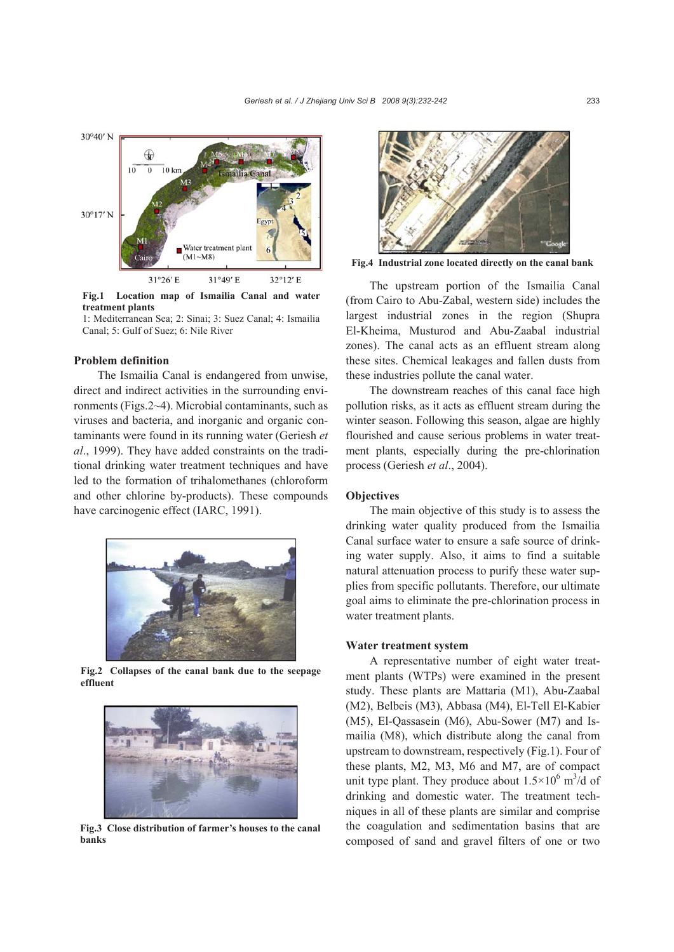

**Fig.1 Location map of Ismailia Canal and water treatment plants** 

1: Mediterranean Sea; 2: Sinai; 3: Suez Canal; 4: Ismailia Canal; 5: Gulf of Suez; 6: Nile River

#### **Problem definition**

The Ismailia Canal is endangered from unwise, direct and indirect activities in the surrounding environments (Figs.2~4). Microbial contaminants, such as viruses and bacteria, and inorganic and organic contaminants were found in its running water (Geriesh *et al*., 1999). They have added constraints on the traditional drinking water treatment techniques and have led to the formation of trihalomethanes (chloroform and other chlorine by-products). These compounds have carcinogenic effect (IARC, 1991).



**Fig.2 Collapses of the canal bank due to the seepage effluent**



**Fig.3 Close distribution of farmer's houses to the canal banks**



**Fig.4 Industrial zone located directly on the canal bank**

The upstream portion of the Ismailia Canal (from Cairo to Abu-Zabal, western side) includes the largest industrial zones in the region (Shupra El-Kheima, Musturod and Abu-Zaabal industrial zones). The canal acts as an effluent stream along these sites. Chemical leakages and fallen dusts from these industries pollute the canal water.

The downstream reaches of this canal face high pollution risks, as it acts as effluent stream during the winter season. Following this season, algae are highly flourished and cause serious problems in water treatment plants, especially during the pre-chlorination process (Geriesh *et al*., 2004).

## **Objectives**

The main objective of this study is to assess the drinking water quality produced from the Ismailia Canal surface water to ensure a safe source of drinking water supply. Also, it aims to find a suitable natural attenuation process to purify these water supplies from specific pollutants. Therefore, our ultimate goal aims to eliminate the pre-chlorination process in water treatment plants.

#### **Water treatment system**

A representative number of eight water treatment plants (WTPs) were examined in the present study. These plants are Mattaria (M1), Abu-Zaabal (M2), Belbeis (M3), Abbasa (M4), El-Tell El-Kabier (M5), El-Qassasein (M6), Abu-Sower (M7) and Ismailia (M8), which distribute along the canal from upstream to downstream, respectively (Fig.1). Four of these plants, M2, M3, M6 and M7, are of compact unit type plant. They produce about  $1.5 \times 10^6$  m<sup>3</sup>/d of drinking and domestic water. The treatment techniques in all of these plants are similar and comprise the coagulation and sedimentation basins that are composed of sand and gravel filters of one or two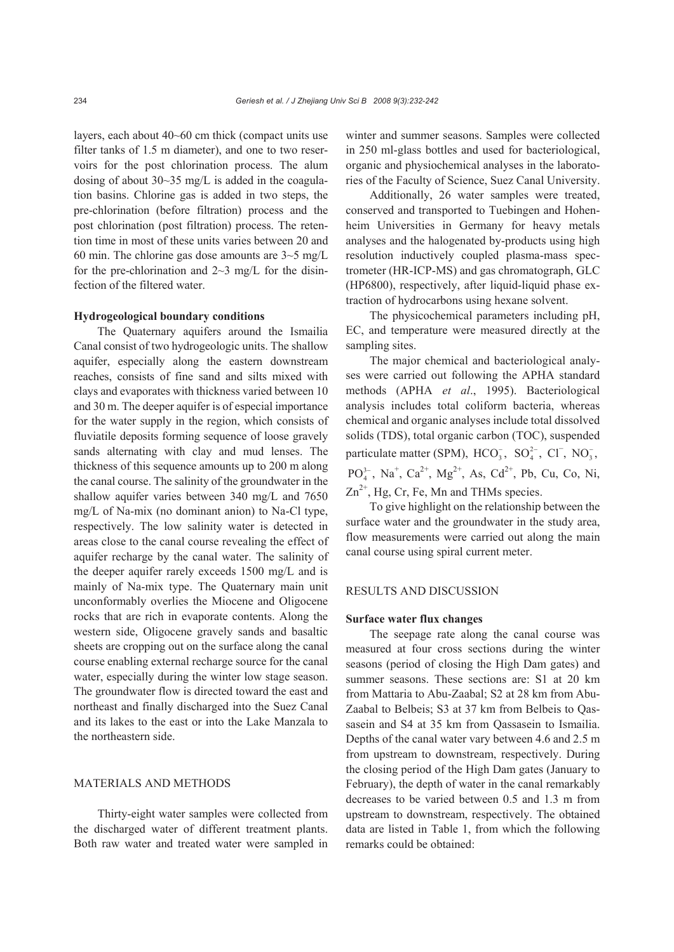layers, each about 40~60 cm thick (compact units use filter tanks of 1.5 m diameter), and one to two reservoirs for the post chlorination process. The alum dosing of about 30~35 mg/L is added in the coagulation basins. Chlorine gas is added in two steps, the pre-chlorination (before filtration) process and the post chlorination (post filtration) process. The retention time in most of these units varies between 20 and 60 min. The chlorine gas dose amounts are  $3\neg 5$  mg/L for the pre-chlorination and  $2~3$  mg/L for the disinfection of the filtered water.

## **Hydrogeological boundary conditions**

The Quaternary aquifers around the Ismailia Canal consist of two hydrogeologic units. The shallow aquifer, especially along the eastern downstream reaches, consists of fine sand and silts mixed with clays and evaporates with thickness varied between 10 and 30 m. The deeper aquifer is of especial importance for the water supply in the region, which consists of fluviatile deposits forming sequence of loose gravely sands alternating with clay and mud lenses. The thickness of this sequence amounts up to 200 m along the canal course. The salinity of the groundwater in the shallow aquifer varies between 340 mg/L and 7650 mg/L of Na-mix (no dominant anion) to Na-Cl type, respectively. The low salinity water is detected in areas close to the canal course revealing the effect of aquifer recharge by the canal water. The salinity of the deeper aquifer rarely exceeds 1500 mg/L and is mainly of Na-mix type. The Quaternary main unit unconformably overlies the Miocene and Oligocene rocks that are rich in evaporate contents. Along the western side, Oligocene gravely sands and basaltic sheets are cropping out on the surface along the canal course enabling external recharge source for the canal water, especially during the winter low stage season. The groundwater flow is directed toward the east and northeast and finally discharged into the Suez Canal and its lakes to the east or into the Lake Manzala to the northeastern side.

## MATERIALS AND METHODS

Thirty-eight water samples were collected from the discharged water of different treatment plants. Both raw water and treated water were sampled in

winter and summer seasons. Samples were collected in 250 ml-glass bottles and used for bacteriological, organic and physiochemical analyses in the laboratories of the Faculty of Science, Suez Canal University.

Additionally, 26 water samples were treated, conserved and transported to Tuebingen and Hohenheim Universities in Germany for heavy metals analyses and the halogenated by-products using high resolution inductively coupled plasma-mass spectrometer (HR-ICP-MS) and gas chromatograph, GLC (HP6800), respectively, after liquid-liquid phase extraction of hydrocarbons using hexane solvent.

The physicochemical parameters including pH, EC, and temperature were measured directly at the sampling sites.

The major chemical and bacteriological analyses were carried out following the APHA standard methods (APHA *et al*., 1995). Bacteriological analysis includes total coliform bacteria, whereas chemical and organic analyses include total dissolved solids (TDS), total organic carbon (TOC), suspended particulate matter (SPM),  $HCO_3^-$ ,  $SO_4^{2-}$ ,  $Cl^-, NO_3^-,$  $PO_4^{3-}$ , Na<sup>+</sup>, Ca<sup>2+</sup>, Mg<sup>2+</sup>, As, Cd<sup>2+</sup>, Pb, Cu, Co, Ni,  $Zn^{2+}$ , Hg, Cr, Fe, Mn and THMs species.

To give highlight on the relationship between the surface water and the groundwater in the study area, flow measurements were carried out along the main canal course using spiral current meter.

#### RESULTS AND DISCUSSION

#### **Surface water flux changes**

The seepage rate along the canal course was measured at four cross sections during the winter seasons (period of closing the High Dam gates) and summer seasons. These sections are: S1 at 20 km from Mattaria to Abu-Zaabal; S2 at 28 km from Abu-Zaabal to Belbeis; S3 at 37 km from Belbeis to Qassasein and S4 at 35 km from Qassasein to Ismailia. Depths of the canal water vary between 4.6 and 2.5 m from upstream to downstream, respectively. During the closing period of the High Dam gates (January to February), the depth of water in the canal remarkably decreases to be varied between 0.5 and 1.3 m from upstream to downstream, respectively. The obtained data are listed in Table 1, from which the following remarks could be obtained: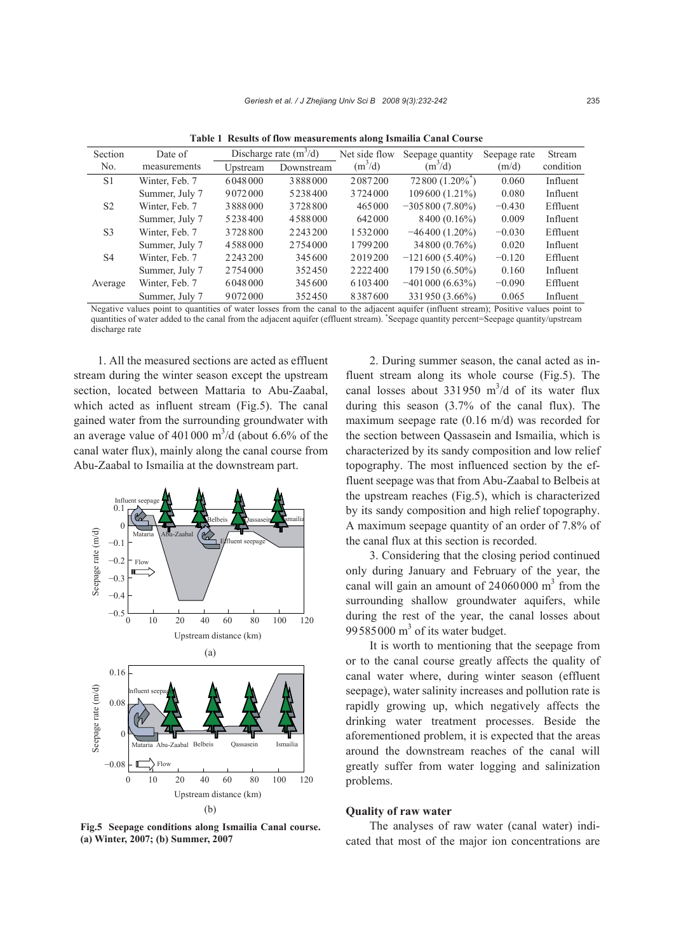| They were the thought the way are the context of the context of the context of |                |          |                          |                     |                               |              |           |  |  |  |  |
|--------------------------------------------------------------------------------|----------------|----------|--------------------------|---------------------|-------------------------------|--------------|-----------|--|--|--|--|
| Section                                                                        | Date of        |          | Discharge rate $(m^3/d)$ | Net side flow       | Seepage quantity              | Seepage rate | Stream    |  |  |  |  |
| No.                                                                            | measurements   | Upstream | Downstream               | (m <sup>3</sup> /d) | $(m^3/d)$                     | (m/d)        | condition |  |  |  |  |
| S1                                                                             | Winter, Feb. 7 | 6048000  | 3888000                  | 2087200             | $72800(1.20\%$ <sup>*</sup> ) | 0.060        | Influent  |  |  |  |  |
|                                                                                | Summer, July 7 | 9072000  | 5238400                  | 3724000             | 109600 (1.21%)                | 0.080        | Influent  |  |  |  |  |
| S <sub>2</sub>                                                                 | Winter, Feb. 7 | 3888000  | 3728800                  | 465000              | $-305800(7.80\%)$             | $-0.430$     | Effluent  |  |  |  |  |
|                                                                                | Summer, July 7 | 5238400  | 4588000                  | 642000              | 8400 (0.16%)                  | 0.009        | Influent  |  |  |  |  |
| S <sub>3</sub>                                                                 | Winter, Feb. 7 | 3728800  | 2243200                  | 1532000             | $-46400(1.20\%)$              | $-0.030$     | Effluent  |  |  |  |  |
|                                                                                | Summer, July 7 | 4.588000 | 2754000                  | 1799200             | 34 800 (0.76%)                | 0.020        | Influent  |  |  |  |  |
| S4                                                                             | Winter, Feb. 7 | 2243200  | 345600                   | 2019200             | $-121600(5.40\%)$             | $-0.120$     | Effluent  |  |  |  |  |
|                                                                                | Summer, July 7 | 2754000  | 352450                   | 2222400             | 179 150 (6.50%)               | 0.160        | Influent  |  |  |  |  |
| Average                                                                        | Winter, Feb. 7 | 6048000  | 345600                   | 6 1 0 3 4 0 0       | $-401000(6.63\%)$             | $-0.090$     | Effluent  |  |  |  |  |
|                                                                                | Summer, July 7 | 9072000  | 352450                   | 8387600             | 331950 (3.66%)                | 0.065        | Influent  |  |  |  |  |

**Table 1 Results of flow measurements along Ismailia Canal Course**

Negative values point to quantities of water losses from the canal to the adjacent aquifer (influent stream); Positive values point to quantities of water added to the canal from the adjacent aquifer (effluent stream). \* Seepage quantity percent=Seepage quantity/upstream discharge rate

1. All the measured sections are acted as effluent stream during the winter season except the upstream section, located between Mattaria to Abu-Zaabal, which acted as influent stream (Fig.5). The canal gained water from the surrounding groundwater with an average value of  $401000 \text{ m}^3/\text{d}$  (about 6.6% of the canal water flux), mainly along the canal course from Abu-Zaabal to Ismailia at the downstream part.



**Fig.5 Seepage conditions along Ismailia Canal course. (a) Winter, 2007; (b) Summer, 2007**

2. During summer season, the canal acted as influent stream along its whole course (Fig.5). The canal losses about  $331950 \text{ m}^3/\text{d}$  of its water flux during this season (3.7% of the canal flux). The maximum seepage rate (0.16 m/d) was recorded for the section between Qassasein and Ismailia, which is characterized by its sandy composition and low relief topography. The most influenced section by the effluent seepage was that from Abu-Zaabal to Belbeis at the upstream reaches (Fig.5), which is characterized by its sandy composition and high relief topography. A maximum seepage quantity of an order of 7.8% of the canal flux at this section is recorded.

3. Considering that the closing period continued only during January and February of the year, the canal will gain an amount of  $24060000 \text{ m}^3$  from the surrounding shallow groundwater aquifers, while during the rest of the year, the canal losses about 99585000  $m<sup>3</sup>$  of its water budget.

It is worth to mentioning that the seepage from or to the canal course greatly affects the quality of canal water where, during winter season (effluent seepage), water salinity increases and pollution rate is rapidly growing up, which negatively affects the drinking water treatment processes. Beside the aforementioned problem, it is expected that the areas around the downstream reaches of the canal will greatly suffer from water logging and salinization problems.

## **Quality of raw water**

The analyses of raw water (canal water) indicated that most of the major ion concentrations are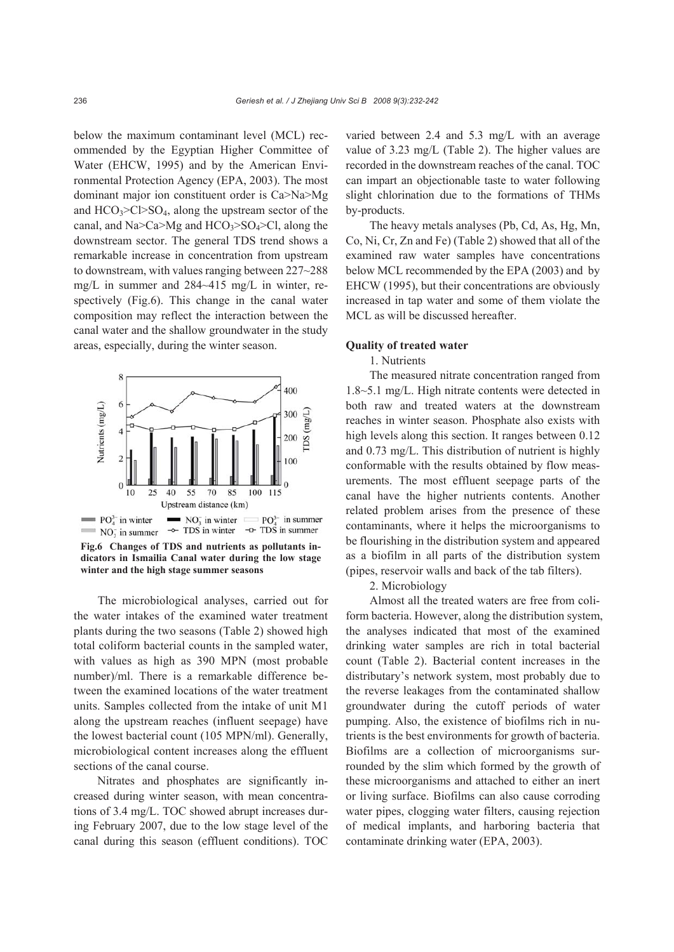below the maximum contaminant level (MCL) recommended by the Egyptian Higher Committee of Water (EHCW, 1995) and by the American Environmental Protection Agency (EPA, 2003). The most dominant major ion constituent order is Ca>Na>Mg and  $HCO<sub>3</sub>>Cl>SO<sub>4</sub>$ , along the upstream sector of the canal, and Na $\geq$ Ca $\geq$ Mg and HCO<sub>3</sub> $\geq$ SO<sub>4</sub> $\geq$ Cl, along the downstream sector. The general TDS trend shows a remarkable increase in concentration from upstream to downstream, with values ranging between 227~288 mg/L in summer and 284~415 mg/L in winter, respectively (Fig.6). This change in the canal water composition may reflect the interaction between the canal water and the shallow groundwater in the study areas, especially, during the winter season.



**dicators in Ismailia Canal water during the low stage winter and the high stage summer seasons** 

The microbiological analyses, carried out for the water intakes of the examined water treatment plants during the two seasons (Table 2) showed high total coliform bacterial counts in the sampled water, with values as high as 390 MPN (most probable number)/ml. There is a remarkable difference between the examined locations of the water treatment units. Samples collected from the intake of unit M1 along the upstream reaches (influent seepage) have the lowest bacterial count (105 MPN/ml). Generally, microbiological content increases along the effluent sections of the canal course.

Nitrates and phosphates are significantly increased during winter season, with mean concentrations of 3.4 mg/L. TOC showed abrupt increases during February 2007, due to the low stage level of the canal during this season (effluent conditions). TOC varied between 2.4 and 5.3 mg/L with an average value of 3.23 mg/L (Table 2). The higher values are recorded in the downstream reaches of the canal. TOC can impart an objectionable taste to water following slight chlorination due to the formations of THMs by-products.

The heavy metals analyses (Pb, Cd, As, Hg, Mn, Co, Ni, Cr, Zn and Fe) (Table 2) showed that all of the examined raw water samples have concentrations below MCL recommended by the EPA (2003) and by EHCW (1995), but their concentrations are obviously increased in tap water and some of them violate the MCL as will be discussed hereafter.

## **Quality of treated water**

1. Nutrients

The measured nitrate concentration ranged from 1.8~5.1 mg/L. High nitrate contents were detected in both raw and treated waters at the downstream reaches in winter season. Phosphate also exists with high levels along this section. It ranges between 0.12 and 0.73 mg/L. This distribution of nutrient is highly conformable with the results obtained by flow measurements. The most effluent seepage parts of the canal have the higher nutrients contents. Another related problem arises from the presence of these contaminants, where it helps the microorganisms to be flourishing in the distribution system and appeared as a biofilm in all parts of the distribution system (pipes, reservoir walls and back of the tab filters).

2. Microbiology

Almost all the treated waters are free from coliform bacteria. However, along the distribution system, the analyses indicated that most of the examined drinking water samples are rich in total bacterial count (Table 2). Bacterial content increases in the distributary's network system, most probably due to the reverse leakages from the contaminated shallow groundwater during the cutoff periods of water pumping. Also, the existence of biofilms rich in nutrients is the best environments for growth of bacteria. Biofilms are a collection of microorganisms surrounded by the slim which formed by the growth of these microorganisms and attached to either an inert or living surface. Biofilms can also cause corroding water pipes, clogging water filters, causing rejection of medical implants, and harboring bacteria that contaminate drinking water (EPA, 2003).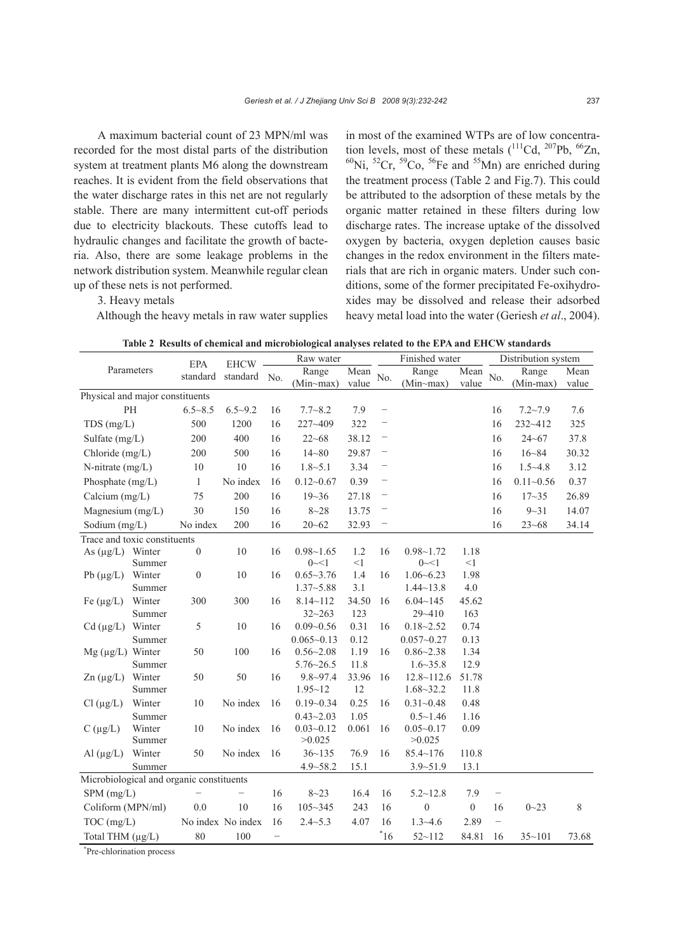A maximum bacterial count of 23 MPN/ml was recorded for the most distal parts of the distribution system at treatment plants M6 along the downstream reaches. It is evident from the field observations that the water discharge rates in this net are not regularly stable. There are many intermittent cut-off periods due to electricity blackouts. These cutoffs lead to hydraulic changes and facilitate the growth of bacteria. Also, there are some leakage problems in the network distribution system. Meanwhile regular clean up of these nets is not performed.

3. Heavy metals

Although the heavy metals in raw water supplies

in most of the examined WTPs are of low concentration levels, most of these metals  $(^{111}Cd, ^{207}Pb, ^{66}Zn,$  ${}^{60}\text{Ni}$ ,  ${}^{52}\text{Cr}$ ,  ${}^{59}\text{Co}$ ,  ${}^{56}\text{Fe}$  and  ${}^{55}\text{Mn}$ ) are enriched during the treatment process (Table 2 and Fig.7). This could be attributed to the adsorption of these metals by the organic matter retained in these filters during low discharge rates. The increase uptake of the dissolved oxygen by bacteria, oxygen depletion causes basic changes in the redox environment in the filters materials that are rich in organic maters. Under such conditions, some of the former precipitated Fe-oxihydroxides may be dissolved and release their adsorbed heavy metal load into the water (Geriesh *et al*., 2004).

|  | Table 2 Results of chemical and microbiological analyses related to the EPA and EHCW standards |  |  |  |
|--|------------------------------------------------------------------------------------------------|--|--|--|
|  |                                                                                                |  |  |  |

| Parameters                               |        | EPA              | <b>EHCW</b><br>standard No. | Raw water                |                           |               | Finished water           |                           |               | Distribution system |                    |               |
|------------------------------------------|--------|------------------|-----------------------------|--------------------------|---------------------------|---------------|--------------------------|---------------------------|---------------|---------------------|--------------------|---------------|
|                                          |        | standard         |                             |                          | Range<br>$(Min \sim max)$ | Mean<br>value | No.                      | Range<br>$(Min \sim max)$ | Mean<br>value | No.                 | Range<br>(Min-max) | Mean<br>value |
| Physical and major constituents          |        |                  |                             |                          |                           |               |                          |                           |               |                     |                    |               |
| PH                                       |        | $6.5 - 8.5$      | $6.5 - 9.2$                 | 16                       | $7.7 - 8.2$               | 7.9           | $\qquad \qquad -$        |                           |               | 16                  | $7.2 - 7.9$        | 7.6           |
| TDS (mg/L)                               |        | 500              | 1200                        | 16                       | 227~409                   | 322           |                          |                           |               | 16                  | 232~412            | 325           |
| Sulfate (mg/L)                           |        | 200              | 400                         | 16                       | $22 - 68$                 | 38.12         | $\qquad \qquad -$        |                           |               | 16                  | $24 - 67$          | 37.8          |
| Chloride $(mg/L)$                        |        | 200              | 500                         | 16                       | $14 - 80$                 | 29.87         | $\qquad \qquad -$        |                           |               | 16                  | $16 - 84$          | 30.32         |
| N-nitrate $(mg/L)$                       |        | 10               | 10                          | 16                       | $1.8 - 5.1$               | 3.34          | $\qquad \qquad -$        |                           |               | 16                  | $1.5 - 4.8$        | 3.12          |
| Phosphate (mg/L)                         |        | $\mathbf{1}$     | No index                    | 16                       | $0.12 - 0.67$             | 0.39          | $\qquad \qquad -$        |                           |               | 16                  | $0.11 - 0.56$      | 0.37          |
| Calcium (mg/L)                           |        | 75               | 200                         | 16                       | $19 - 36$                 | 27.18         | $\overline{\phantom{0}}$ |                           |               | 16                  | $17 - 35$          | 26.89         |
| Magnesium (mg/L)                         |        | 30               | 150                         | 16                       | $8 - 28$                  | 13.75         | $\qquad \qquad -$        |                           |               | 16                  | $9 - 31$           | 14.07         |
| Sodium (mg/L)                            |        | No index         | 200                         | 16                       | $20 - 62$                 | 32.93         | $\overline{\phantom{0}}$ |                           |               | 16                  | $23 - 68$          | 34.14         |
| Trace and toxic constituents             |        |                  |                             |                          |                           |               |                          |                           |               |                     |                    |               |
| As $(\mu g/L)$                           | Winter | $\boldsymbol{0}$ | 10                          | 16                       | $0.98 - 1.65$             | 1.2           | 16                       | $0.98 - 1.72$             | 1.18          |                     |                    |               |
|                                          | Summer |                  |                             |                          | $0 \le 1$                 | <1            |                          | $0 - 1$                   | $<$ 1         |                     |                    |               |
| Pb $(\mu g/L)$                           | Winter | $\boldsymbol{0}$ | 10                          | 16                       | $0.65 - 3.76$             | 1.4           | 16                       | $1.06 - 6.23$             | 1.98          |                     |                    |               |
|                                          | Summer |                  |                             |                          | $1.37 - 5.88$             | 3.1           |                          | $1.44 \sim 13.8$          | 4.0           |                     |                    |               |
| Fe $(\mu g/L)$                           | Winter | 300              | 300                         | 16                       | $8.14 - 112$              | 34.50         | 16                       | $6.04 - 145$              | 45.62         |                     |                    |               |
|                                          | Summer |                  |                             |                          | $32 - 263$                | 123           |                          | 29~410                    | 163           |                     |                    |               |
| $Cd$ ( $\mu g/L$ )                       | Winter | 5                | 10                          | 16                       | $0.09 - 0.56$             | 0.31          | 16                       | $0.18 - 2.52$             | 0.74          |                     |                    |               |
|                                          | Summer |                  |                             |                          | $0.065 - 0.13$            | 0.12          |                          | $0.057 - 0.27$            | 0.13          |                     |                    |               |
| $Mg(\mu g/L)$ Winter                     |        | 50               | 100                         | 16                       | $0.56 - 2.08$             | 1.19          | 16                       | $0.86 - 2.38$             | 1.34          |                     |                    |               |
|                                          | Summer |                  |                             |                          | $5.76 - 26.5$             | 11.8          |                          | $1.6 - 35.8$              | 12.9          |                     |                    |               |
| $\text{Zn}$ (µg/L)                       | Winter | 50               | 50                          | 16                       | $9.8 - 97.4$              | 33.96         | 16                       | $12.8 - 112.6$            | 51.78         |                     |                    |               |
|                                          | Summer |                  |                             |                          | $1.95 - 12$               | 12            |                          | $1.68 - 32.2$             | 11.8          |                     |                    |               |
| $Cl$ ( $\mu$ g/L)                        | Winter | $10\,$           | No index                    | 16                       | $0.19 - 0.34$             | 0.25          | 16                       | $0.31 - 0.48$             | 0.48          |                     |                    |               |
|                                          | Summer |                  |                             |                          | $0.43 - 2.03$             | 1.05          |                          | $0.5 \sim 1.46$           | 1.16          |                     |                    |               |
| $C(\mu g/L)$                             | Winter | 10               | No index                    | 16                       | $0.03 - 0.12$             | 0.061         | 16                       | $0.05 - 0.17$             | 0.09          |                     |                    |               |
|                                          | Summer |                  |                             |                          | >0.025                    |               |                          | >0.025                    |               |                     |                    |               |
| Al $(\mu g/L)$                           | Winter | 50               | No index                    | 16                       | $36 - 135$                | 76.9          | 16                       | $85.4 \sim 176$           | 110.8         |                     |                    |               |
|                                          | Summer |                  |                             |                          | $4.9 - 58.2$              | 15.1          |                          | $3.9 - 51.9$              | 13.1          |                     |                    |               |
| Microbiological and organic constituents |        |                  |                             |                          |                           |               |                          |                           |               |                     |                    |               |
| SPM (mg/L)                               |        |                  |                             | 16                       | $8 - 23$                  | 16.4          | 16                       | $5.2 - 12.8$              | 7.9           | $\qquad \qquad -$   |                    |               |
| Coliform (MPN/ml)                        |        | 0.0              | 10                          | 16                       | $105 - 345$               | 243           | 16                       | $\boldsymbol{0}$          | $\mathbf{0}$  | 16                  | $0 - 23$           | 8             |
| TOC (mg/L)                               |        |                  | No index No index           | 16                       | $2.4 - 5.3$               | 4.07          | 16                       | $1.3 - 4.6$               | 2.89          | $\qquad \qquad -$   |                    |               |
| Total THM (µg/L)                         |        | 80               | 100                         | $\overline{\phantom{0}}$ |                           |               | $*16$                    | $52 - 112$                | 84.81         | 16                  | $35 - 101$         | 73.68         |

\* Pre-chlorination process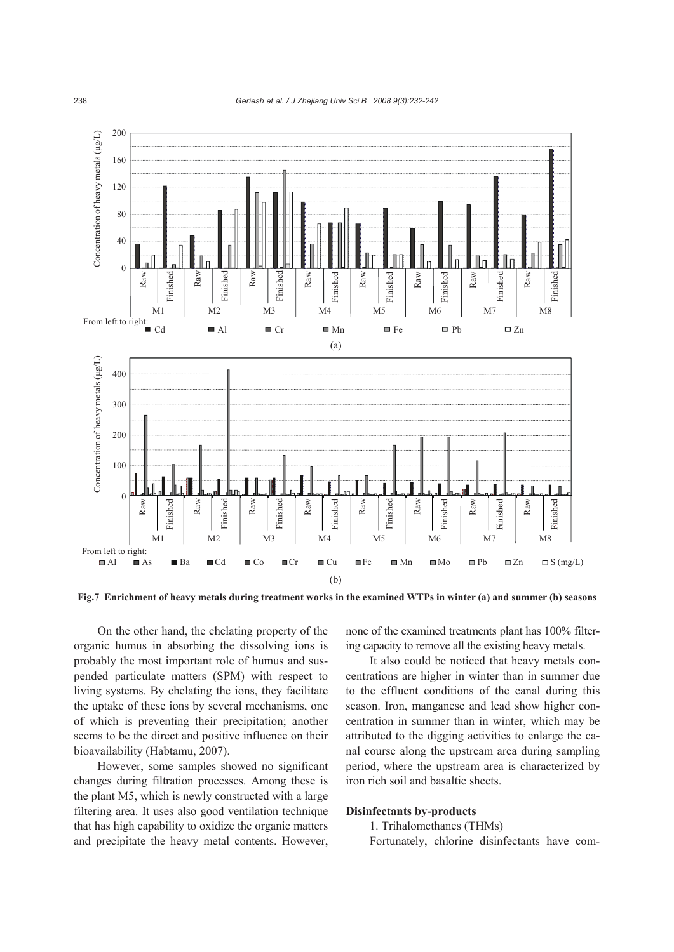

**Fig.7 Enrichment of heavy metals during treatment works in the examined WTPs in winter (a) and summer (b) seasons**

On the other hand, the chelating property of the organic humus in absorbing the dissolving ions is probably the most important role of humus and suspended particulate matters (SPM) with respect to living systems. By chelating the ions, they facilitate the uptake of these ions by several mechanisms, one of which is preventing their precipitation; another seems to be the direct and positive influence on their bioavailability (Habtamu, 2007).

However, some samples showed no significant changes during filtration processes. Among these is the plant M5, which is newly constructed with a large filtering area. It uses also good ventilation technique that has high capability to oxidize the organic matters and precipitate the heavy metal contents. However,

none of the examined treatments plant has 100% filtering capacity to remove all the existing heavy metals.

It also could be noticed that heavy metals concentrations are higher in winter than in summer due to the effluent conditions of the canal during this season. Iron, manganese and lead show higher concentration in summer than in winter, which may be attributed to the digging activities to enlarge the canal course along the upstream area during sampling period, where the upstream area is characterized by iron rich soil and basaltic sheets.

# **Disinfectants by-products**

1. Trihalomethanes (THMs)

Fortunately, chlorine disinfectants have com-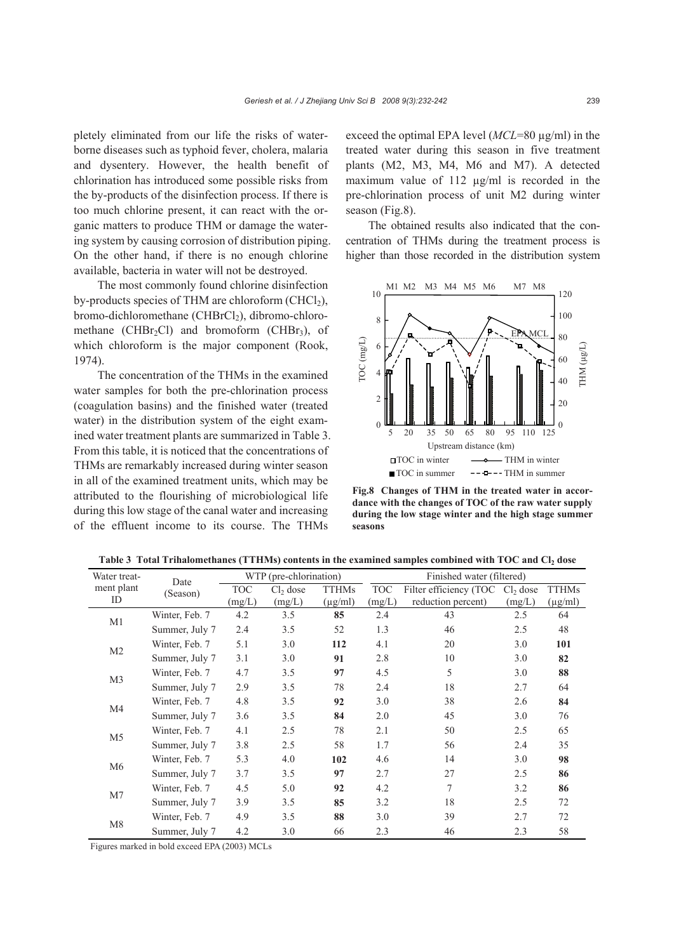pletely eliminated from our life the risks of waterborne diseases such as typhoid fever, cholera, malaria and dysentery. However, the health benefit of chlorination has introduced some possible risks from the by-products of the disinfection process. If there is too much chlorine present, it can react with the organic matters to produce THM or damage the watering system by causing corrosion of distribution piping. On the other hand, if there is no enough chlorine available, bacteria in water will not be destroyed.

The most commonly found chlorine disinfection by-products species of THM are chloroform  $(CHCl<sub>2</sub>)$ , bromo-dichloromethane (CHBrCl<sub>2</sub>), dibromo-chloromethane (CHBr<sub>2</sub>Cl) and bromoform (CHBr<sub>3</sub>), of which chloroform is the major component (Rook, 1974).

The concentration of the THMs in the examined water samples for both the pre-chlorination process (coagulation basins) and the finished water (treated water) in the distribution system of the eight examined water treatment plants are summarized in Table 3. From this table, it is noticed that the concentrations of THMs are remarkably increased during winter season in all of the examined treatment units, which may be attributed to the flourishing of microbiological life during this low stage of the canal water and increasing of the effluent income to its course. The THMs

exceed the optimal EPA level (*MCL*=80 µg/ml) in the treated water during this season in five treatment plants (M2, M3, M4, M6 and M7). A detected maximum value of 112 µg/ml is recorded in the pre-chlorination process of unit M2 during winter season (Fig.8).

The obtained results also indicated that the concentration of THMs during the treatment process is higher than those recorded in the distribution system



**Fig.8 Changes of THM in the treated water in accordance with the changes of TOC of the raw water supply during the low stage winter and the high stage summer seasons**

| Water treat-   | Date           |            | WTP (pre-chlorination) |              | Finished water (filtered) |                        |            |              |  |
|----------------|----------------|------------|------------------------|--------------|---------------------------|------------------------|------------|--------------|--|
| ment plant     | (Season)       | <b>TOC</b> | $Cl2$ dose             | <b>TTHMs</b> | TOC                       | Filter efficiency (TOC | $Cl2$ dose | <b>TTHMs</b> |  |
| ID             |                | (mg/L)     | (mg/L)                 | $(\mu g/ml)$ | (mg/L)                    | reduction percent)     | (mg/L)     | $(\mu g/ml)$ |  |
| M1             | Winter, Feb. 7 | 4.2        | 3.5                    | 85           | 2.4                       | 43                     | 2.5        | 64           |  |
|                | Summer, July 7 | 2.4        | 3.5                    | 52           | 1.3                       | 46                     | 2.5        | 48           |  |
| M <sub>2</sub> | Winter, Feb. 7 | 5.1        | 3.0                    | 112          | 4.1                       | 20                     | 3.0        | 101          |  |
|                | Summer, July 7 | 3.1        | 3.0                    | 91           | 2.8                       | 10                     | 3.0        | 82           |  |
| M <sub>3</sub> | Winter, Feb. 7 | 4.7        | 3.5                    | 97           | 4.5                       | 5                      | 3.0        | 88           |  |
|                | Summer, July 7 | 2.9        | 3.5                    | 78           | 2.4                       | 18                     | 2.7        | 64           |  |
| M4             | Winter, Feb. 7 | 4.8        | 3.5                    | 92           | 3.0                       | 38                     | 2.6        | 84           |  |
|                | Summer, July 7 | 3.6        | 3.5                    | 84           | 2.0                       | 45                     | 3.0        | 76           |  |
| M <sub>5</sub> | Winter, Feb. 7 | 4.1        | 2.5                    | 78           | 2.1                       | 50                     | 2.5        | 65           |  |
|                | Summer, July 7 | 3.8        | 2.5                    | 58           | 1.7                       | 56                     | 2.4        | 35           |  |
| M <sub>6</sub> | Winter, Feb. 7 | 5.3        | 4.0                    | 102          | 4.6                       | 14                     | 3.0        | 98           |  |
|                | Summer, July 7 | 3.7        | 3.5                    | 97           | 2.7                       | 27                     | 2.5        | 86           |  |
| M <sub>7</sub> | Winter, Feb. 7 | 4.5        | 5.0                    | 92           | 4.2                       | 7                      | 3.2        | 86           |  |
|                | Summer, July 7 | 3.9        | 3.5                    | 85           | 3.2                       | 18                     | 2.5        | 72           |  |
| M8             | Winter, Feb. 7 | 4.9        | 3.5                    | 88           | 3.0                       | 39                     | 2.7        | 72           |  |
|                | Summer, July 7 | 4.2        | 3.0                    | 66           | 2.3                       | 46                     | 2.3        | 58           |  |

**Table 3 Total Trihalomethanes (TTHMs) contents in the examined samples combined with TOC and Cl2 dose**

Figures marked in bold exceed EPA (2003) MCLs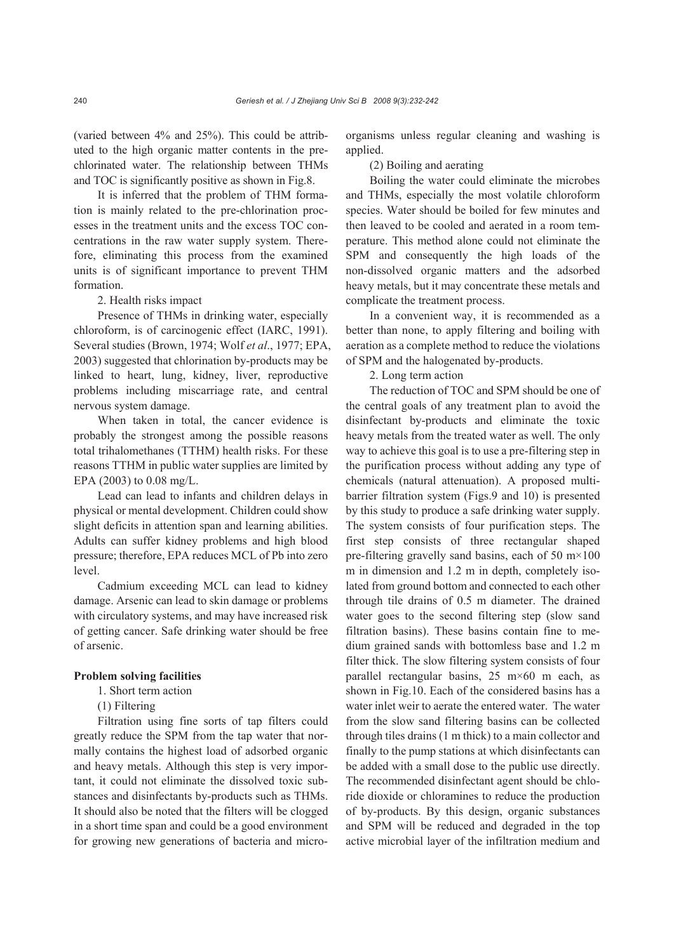(varied between 4% and 25%). This could be attributed to the high organic matter contents in the prechlorinated water. The relationship between THMs and TOC is significantly positive as shown in Fig.8.

It is inferred that the problem of THM formation is mainly related to the pre-chlorination processes in the treatment units and the excess TOC concentrations in the raw water supply system. Therefore, eliminating this process from the examined units is of significant importance to prevent THM formation.

#### 2. Health risks impact

Presence of THMs in drinking water, especially chloroform, is of carcinogenic effect (IARC, 1991). Several studies (Brown, 1974; Wolf *et al*., 1977; EPA, 2003) suggested that chlorination by-products may be linked to heart, lung, kidney, liver, reproductive problems including miscarriage rate, and central nervous system damage.

When taken in total, the cancer evidence is probably the strongest among the possible reasons total trihalomethanes (TTHM) health risks. For these reasons TTHM in public water supplies are limited by EPA (2003) to 0.08 mg/L.

Lead can lead to infants and children delays in physical or mental development. Children could show slight deficits in attention span and learning abilities. Adults can suffer kidney problems and high blood pressure; therefore, EPA reduces MCL of Pb into zero level.

Cadmium exceeding MCL can lead to kidney damage. Arsenic can lead to skin damage or problems with circulatory systems, and may have increased risk of getting cancer. Safe drinking water should be free of arsenic.

## **Problem solving facilities**

1. Short term action

(1) Filtering

Filtration using fine sorts of tap filters could greatly reduce the SPM from the tap water that normally contains the highest load of adsorbed organic and heavy metals. Although this step is very important, it could not eliminate the dissolved toxic substances and disinfectants by-products such as THMs. It should also be noted that the filters will be clogged in a short time span and could be a good environment for growing new generations of bacteria and microorganisms unless regular cleaning and washing is applied.

(2) Boiling and aerating

Boiling the water could eliminate the microbes and THMs, especially the most volatile chloroform species. Water should be boiled for few minutes and then leaved to be cooled and aerated in a room temperature. This method alone could not eliminate the SPM and consequently the high loads of the non-dissolved organic matters and the adsorbed heavy metals, but it may concentrate these metals and complicate the treatment process.

In a convenient way, it is recommended as a better than none, to apply filtering and boiling with aeration as a complete method to reduce the violations of SPM and the halogenated by-products.

2. Long term action

The reduction of TOC and SPM should be one of the central goals of any treatment plan to avoid the disinfectant by-products and eliminate the toxic heavy metals from the treated water as well. The only way to achieve this goal is to use a pre-filtering step in the purification process without adding any type of chemicals (natural attenuation). A proposed multibarrier filtration system (Figs.9 and 10) is presented by this study to produce a safe drinking water supply. The system consists of four purification steps. The first step consists of three rectangular shaped pre-filtering gravelly sand basins, each of 50  $m \times 100$ m in dimension and 1.2 m in depth, completely isolated from ground bottom and connected to each other through tile drains of 0.5 m diameter. The drained water goes to the second filtering step (slow sand filtration basins). These basins contain fine to medium grained sands with bottomless base and 1.2 m filter thick. The slow filtering system consists of four parallel rectangular basins, 25 m×60 m each, as shown in Fig.10. Each of the considered basins has a water inlet weir to aerate the entered water. The water from the slow sand filtering basins can be collected through tiles drains (1 m thick) to a main collector and finally to the pump stations at which disinfectants can be added with a small dose to the public use directly. The recommended disinfectant agent should be chloride dioxide or chloramines to reduce the production of by-products. By this design, organic substances and SPM will be reduced and degraded in the top active microbial layer of the infiltration medium and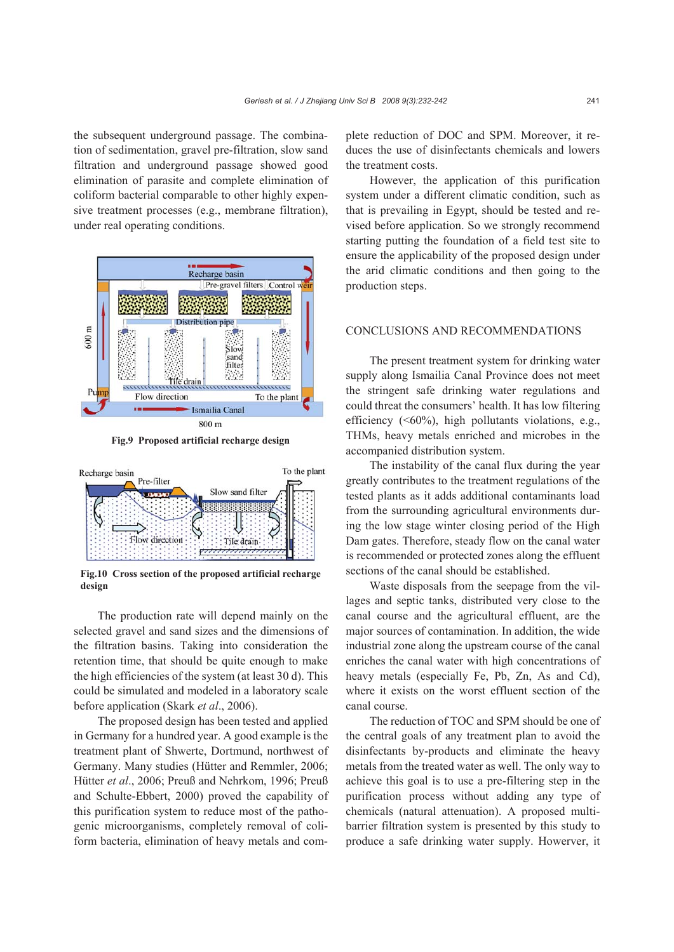the subsequent underground passage. The combination of sedimentation, gravel pre-filtration, slow sand filtration and underground passage showed good elimination of parasite and complete elimination of coliform bacterial comparable to other highly expensive treatment processes (e.g., membrane filtration), under real operating conditions.



**Fig.9 Proposed artificial recharge design**



**Fig.10 Cross section of the proposed artificial recharge design** 

The production rate will depend mainly on the selected gravel and sand sizes and the dimensions of the filtration basins. Taking into consideration the retention time, that should be quite enough to make the high efficiencies of the system (at least 30 d). This could be simulated and modeled in a laboratory scale before application (Skark *et al*., 2006).

The proposed design has been tested and applied in Germany for a hundred year. A good example is the treatment plant of Shwerte, Dortmund, northwest of Germany. Many studies (Hütter and Remmler, 2006; Hütter *et al*., 2006; Preuß and Nehrkom, 1996; Preuß and Schulte-Ebbert, 2000) proved the capability of this purification system to reduce most of the pathogenic microorganisms, completely removal of coliform bacteria, elimination of heavy metals and complete reduction of DOC and SPM. Moreover, it reduces the use of disinfectants chemicals and lowers the treatment costs.

However, the application of this purification system under a different climatic condition, such as that is prevailing in Egypt, should be tested and revised before application. So we strongly recommend starting putting the foundation of a field test site to ensure the applicability of the proposed design under the arid climatic conditions and then going to the production steps.

# CONCLUSIONS AND RECOMMENDATIONS

The present treatment system for drinking water supply along Ismailia Canal Province does not meet the stringent safe drinking water regulations and could threat the consumers' health. It has low filtering efficiency (<60%), high pollutants violations, e.g., THMs, heavy metals enriched and microbes in the accompanied distribution system.

The instability of the canal flux during the year greatly contributes to the treatment regulations of the tested plants as it adds additional contaminants load from the surrounding agricultural environments during the low stage winter closing period of the High Dam gates. Therefore, steady flow on the canal water is recommended or protected zones along the effluent sections of the canal should be established.

Waste disposals from the seepage from the villages and septic tanks, distributed very close to the canal course and the agricultural effluent, are the major sources of contamination. In addition, the wide industrial zone along the upstream course of the canal enriches the canal water with high concentrations of heavy metals (especially Fe, Pb, Zn, As and Cd), where it exists on the worst effluent section of the canal course.

The reduction of TOC and SPM should be one of the central goals of any treatment plan to avoid the disinfectants by-products and eliminate the heavy metals from the treated water as well. The only way to achieve this goal is to use a pre-filtering step in the purification process without adding any type of chemicals (natural attenuation). A proposed multibarrier filtration system is presented by this study to produce a safe drinking water supply. Howerver, it